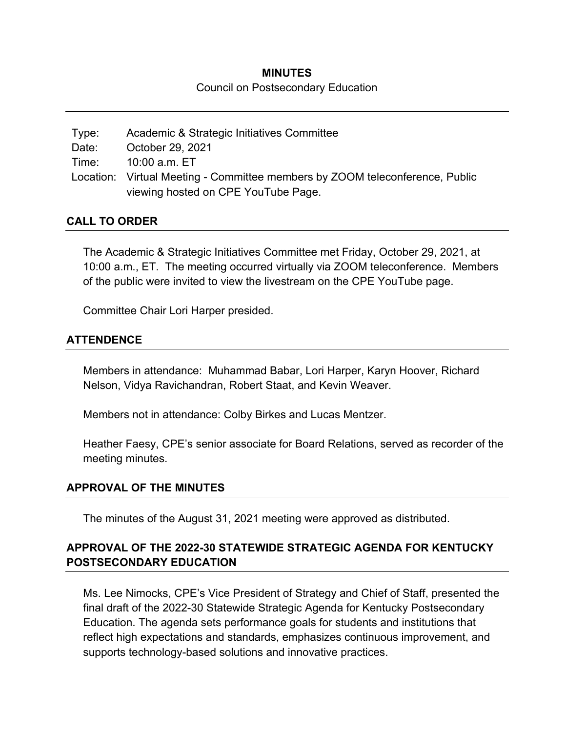## **MINUTES**  Council on Postsecondary Education

| Type: | Academic & Strategic Initiatives Committee                                   |
|-------|------------------------------------------------------------------------------|
| Date: | October 29, 2021                                                             |
|       | Time: 10:00 a.m. ET                                                          |
|       | Location: Virtual Meeting - Committee members by ZOOM teleconference, Public |
|       | viewing hosted on CPE YouTube Page.                                          |

### **CALL TO ORDER**

The Academic & Strategic Initiatives Committee met Friday, October 29, 2021, at 10:00 a.m., ET. The meeting occurred virtually via ZOOM teleconference. Members of the public were invited to view the livestream on the CPE YouTube page.

Committee Chair Lori Harper presided.

### **ATTENDENCE**

Members in attendance: Muhammad Babar, Lori Harper, Karyn Hoover, Richard Nelson, Vidya Ravichandran, Robert Staat, and Kevin Weaver.

Members not in attendance: Colby Birkes and Lucas Mentzer.

Heather Faesy, CPE's senior associate for Board Relations, served as recorder of the meeting minutes.

#### **APPROVAL OF THE MINUTES**

The minutes of the August 31, 2021 meeting were approved as distributed.

# **APPROVAL OF THE 2022-30 STATEWIDE STRATEGIC AGENDA FOR KENTUCKY POSTSECONDARY EDUCATION**

Ms. Lee Nimocks, CPE's Vice President of Strategy and Chief of Staff, presented the final draft of the 2022-30 Statewide Strategic Agenda for Kentucky Postsecondary Education. The agenda sets performance goals for students and institutions that reflect high expectations and standards, emphasizes continuous improvement, and supports technology-based solutions and innovative practices.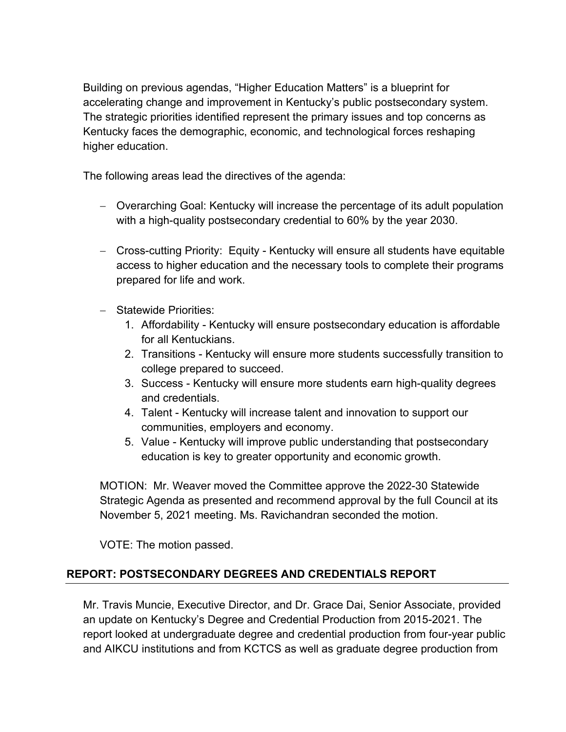Building on previous agendas, "Higher Education Matters" is a blueprint for accelerating change and improvement in Kentucky's public postsecondary system. The strategic priorities identified represent the primary issues and top concerns as Kentucky faces the demographic, economic, and technological forces reshaping higher education.

The following areas lead the directives of the agenda:

- Overarching Goal: Kentucky will increase the percentage of its adult population with a high-quality postsecondary credential to 60% by the year 2030.
- Cross-cutting Priority: Equity Kentucky will ensure all students have equitable access to higher education and the necessary tools to complete their programs prepared for life and work.
- Statewide Priorities:
	- 1. Affordability Kentucky will ensure postsecondary education is affordable for all Kentuckians.
	- 2. Transitions Kentucky will ensure more students successfully transition to college prepared to succeed.
	- 3. Success Kentucky will ensure more students earn high-quality degrees and credentials.
	- 4. Talent Kentucky will increase talent and innovation to support our communities, employers and economy.
	- 5. Value Kentucky will improve public understanding that postsecondary education is key to greater opportunity and economic growth.

MOTION: Mr. Weaver moved the Committee approve the 2022-30 Statewide Strategic Agenda as presented and recommend approval by the full Council at its November 5, 2021 meeting. Ms. Ravichandran seconded the motion.

VOTE: The motion passed.

# **REPORT: POSTSECONDARY DEGREES AND CREDENTIALS REPORT**

Mr. Travis Muncie, Executive Director, and Dr. Grace Dai, Senior Associate, provided an update on Kentucky's Degree and Credential Production from 2015-2021. The report looked at undergraduate degree and credential production from four-year public and AIKCU institutions and from KCTCS as well as graduate degree production from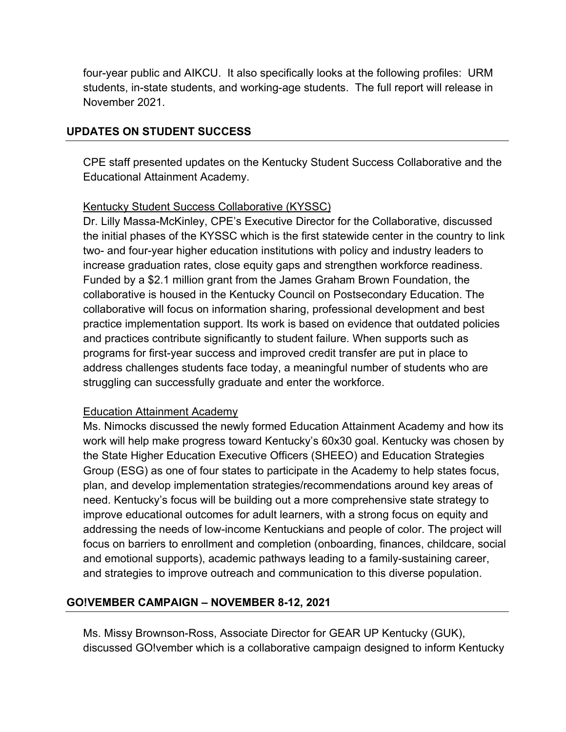four-year public and AIKCU. It also specifically looks at the following profiles: URM students, in-state students, and working-age students. The full report will release in November 2021.

## **UPDATES ON STUDENT SUCCESS**

CPE staff presented updates on the Kentucky Student Success Collaborative and the Educational Attainment Academy.

#### Kentucky Student Success Collaborative (KYSSC)

Dr. Lilly Massa-McKinley, CPE's Executive Director for the Collaborative, discussed the initial phases of the KYSSC which is the first statewide center in the country to link two- and four-year higher education institutions with policy and industry leaders to increase graduation rates, close equity gaps and strengthen workforce readiness. Funded by a \$2.1 million grant from the James Graham Brown Foundation, the collaborative is housed in the Kentucky Council on Postsecondary Education. The collaborative will focus on information sharing, professional development and best practice implementation support. Its work is based on evidence that outdated policies and practices contribute significantly to student failure. When supports such as programs for first-year success and improved credit transfer are put in place to address challenges students face today, a meaningful number of students who are struggling can successfully graduate and enter the workforce.

#### Education Attainment Academy

Ms. Nimocks discussed the newly formed Education Attainment Academy and how its work will help make progress toward Kentucky's 60x30 goal. Kentucky was chosen by the State Higher Education Executive Officers (SHEEO) and Education Strategies Group (ESG) as one of four states to participate in the Academy to help states focus, plan, and develop implementation strategies/recommendations around key areas of need. Kentucky's focus will be building out a more comprehensive state strategy to improve educational outcomes for adult learners, with a strong focus on equity and addressing the needs of low-income Kentuckians and people of color. The project will focus on barriers to enrollment and completion (onboarding, finances, childcare, social and emotional supports), academic pathways leading to a family-sustaining career, and strategies to improve outreach and communication to this diverse population.

## **GO!VEMBER CAMPAIGN – NOVEMBER 8-12, 2021**

Ms. Missy Brownson-Ross, Associate Director for GEAR UP Kentucky (GUK), discussed GO!vember which is a collaborative campaign designed to inform Kentucky